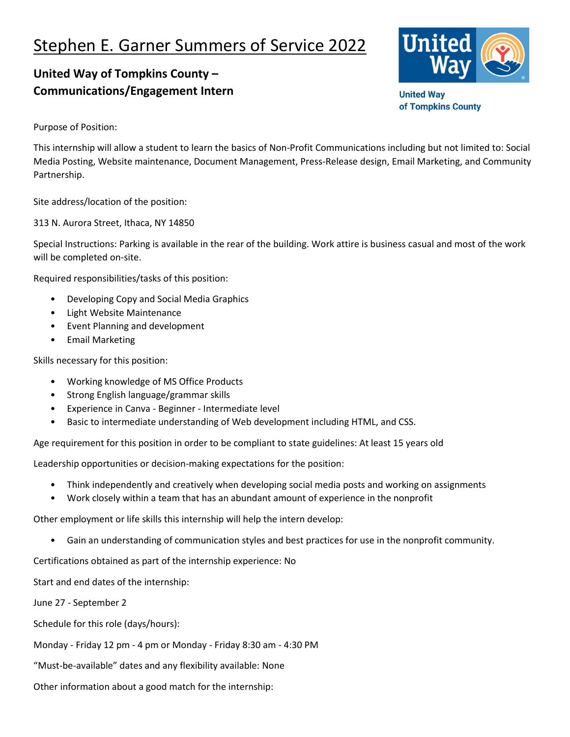## Stephen E. Garner Summers of Service 2022

## **United Way of Tompkins County – Communications/Engagement Intern**



**United Way** of Tompkins County

Purpose of Position:

This internship will allow a student to learn the basics of Non-Profit Communications including but not limited to: Social Media Posting, Website maintenance, Document Management, Press-Release design, Email Marketing, and Community Partnership.

Site address/location of the position:

313 N. Aurora Street, Ithaca, NY 14850

Special Instructions: Parking is available in the rear of the building. Work attire is business casual and most of the work will be completed on-site.

Required responsibilities/tasks of this position:

- Developing Copy and Social Media Graphics
- Light Website Maintenance
- Event Planning and development
- Email Marketing

Skills necessary for this position:

- Working knowledge of MS Office Products
- Strong English language/grammar skills
- Experience in Canva Beginner Intermediate level
- Basic to intermediate understanding of Web development including HTML, and CSS.

Age requirement for this position in order to be compliant to state guidelines: At least 15 years old

Leadership opportunities or decision-making expectations for the position:

- Think independently and creatively when developing social media posts and working on assignments
- Work closely within a team that has an abundant amount of experience in the nonprofit

Other employment or life skills this internship will help the intern develop:

• Gain an understanding of communication styles and best practices for use in the nonprofit community.

Certifications obtained as part of the internship experience: No

Start and end dates of the internship:

June 27 - September 2

Schedule for this role (days/hours):

Monday - Friday 12 pm - 4 pm or Monday - Friday 8:30 am - 4:30 PM

"Must-be-available" dates and any flexibility available: None

Other information about a good match for the internship: